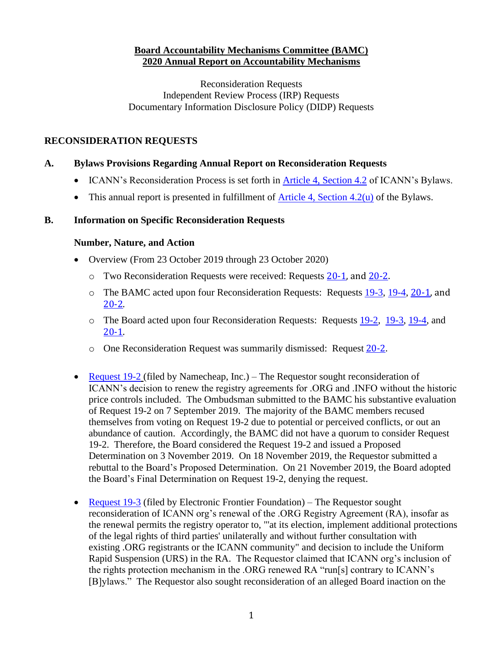### **Board Accountability Mechanisms Committee (BAMC) 2020 Annual Report on Accountability Mechanisms**

Reconsideration Requests Independent Review Process (IRP) Requests Documentary Information Disclosure Policy (DIDP) Requests

### **RECONSIDERATION REQUESTS**

#### **A. Bylaws Provisions Regarding Annual Report on Reconsideration Requests**

- ICANN's Reconsideration Process is set forth in [Article 4, Section 4.2](https://www.icann.org/resources/pages/governance/bylaws-en/#article4) of ICANN's Bylaws.
- This annual report is presented in fulfillment of  $\Delta$ rticle 4, Section 4.2(u) of the Bylaws.

#### **B. Information on Specific Reconsideration Requests**

#### **Number, Nature, and Action**

- Overview (From 23 October 2019 through 23 October 2020)
	- o Two Reconsideration Requests were received: Requests [20-1,](https://www.icann.org/resources/pages/reconsideration-20-1-namecheap-request-2020-01-09-en) and [20-2.](https://www.icann.org/resources/pages/reconsideration-20-2-rose-request-2020-06-19-en)
	- o The BAMC acted upon four Reconsideration Requests: Requests [19-3,](https://www.icann.org/resources/pages/reconsideration-19-3-electronic-frontier-request-2019-08-01-en) [19-4,](https://www.icann.org/resources/pages/reconsideration-19-4-merck-kgaa-request-2019-10-15-en) [20-1,](https://www.icann.org/resources/pages/reconsideration-20-1-namecheap-request-2020-01-09-en) and [20-2.](https://www.icann.org/resources/pages/reconsideration-20-2-rose-request-2020-06-19-en)
	- o The Board acted upon four Reconsideration Requests: Requests [19-2,](https://www.icann.org/resources/pages/reconsideration-19-2-namecheap-request-2019-07-22-en) [19-3,](https://www.icann.org/resources/pages/reconsideration-19-3-electronic-frontier-request-2019-08-01-en) [19-4,](https://www.icann.org/resources/pages/reconsideration-19-4-merck-kgaa-request-2019-10-15-en) and [20-1.](https://www.icann.org/resources/pages/reconsideration-20-1-namecheap-request-2020-01-09-en)
	- o One Reconsideration Request was summarily dismissed: Request [20-2.](https://www.icann.org/resources/pages/reconsideration-20-2-rose-request-2020-06-19-en)
- [Request 19-2](https://www.icann.org/resources/pages/reconsideration-19-2-namecheap-request-2019-07-22-en) (filed by Namecheap, Inc.) The Requestor sought reconsideration of ICANN's decision to renew the registry agreements for .ORG and .INFO without the historic price controls included. The Ombudsman submitted to the BAMC his substantive evaluation of Request 19-2 on 7 September 2019. The majority of the BAMC members recused themselves from voting on Request 19-2 due to potential or perceived conflicts, or out an abundance of caution. Accordingly, the BAMC did not have a quorum to consider Request 19-2. Therefore, the Board considered the Request 19-2 and issued a Proposed Determination on 3 November 2019. On 18 November 2019, the Requestor submitted a rebuttal to the Board's Proposed Determination. On 21 November 2019, the Board adopted the Board's Final Determination on Request 19-2, denying the request.
- [Request 19-3](https://www.icann.org/resources/pages/reconsideration-19-3-electronic-frontier-request-2019-08-01-en) (filed by Electronic Frontier Foundation) The Requestor sought reconsideration of ICANN org's renewal of the .ORG Registry Agreement (RA), insofar as the renewal permits the registry operator to, "'at its election, implement additional protections of the legal rights of third parties' unilaterally and without further consultation with existing .ORG registrants or the ICANN community" and decision to include the Uniform Rapid Suspension (URS) in the RA. The Requestor claimed that ICANN org's inclusion of the rights protection mechanism in the .ORG renewed RA "run[s] contrary to ICANN's [B]ylaws." The Requestor also sought reconsideration of an alleged Board inaction on the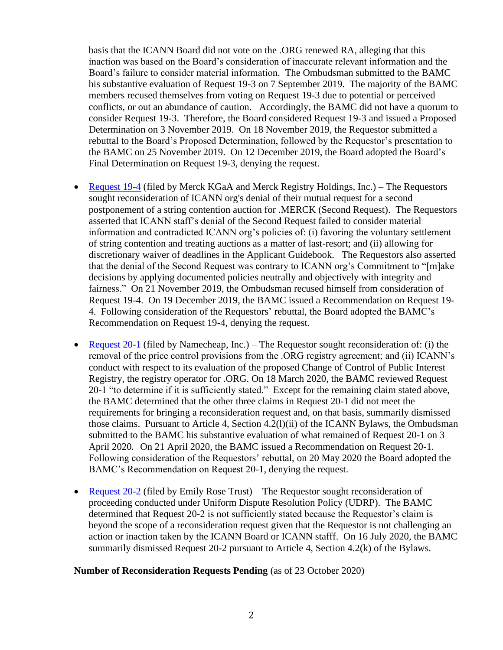basis that the ICANN Board did not vote on the .ORG renewed RA, alleging that this inaction was based on the Board's consideration of inaccurate relevant information and the Board's failure to consider material information. The Ombudsman submitted to the BAMC his substantive evaluation of Request 19-3 on 7 September 2019. The majority of the BAMC members recused themselves from voting on Request 19-3 due to potential or perceived conflicts, or out an abundance of caution. Accordingly, the BAMC did not have a quorum to consider Request 19-3. Therefore, the Board considered Request 19-3 and issued a Proposed Determination on 3 November 2019. On 18 November 2019, the Requestor submitted a rebuttal to the Board's Proposed Determination, followed by the Requestor's presentation to the BAMC on 25 November 2019. On 12 December 2019, the Board adopted the Board's Final Determination on Request 19-3, denying the request.

- [Request 19-4](https://www.icann.org/resources/pages/reconsideration-19-4-merck-kgaa-request-2019-10-15-en) (filed by Merck KGaA and Merck Registry Holdings, Inc.) The Requestors sought reconsideration of ICANN org's denial of their mutual request for a second postponement of a string contention auction for .MERCK (Second Request). The Requestors asserted that ICANN staff's denial of the Second Request failed to consider material information and contradicted ICANN org's policies of: (i) favoring the voluntary settlement of string contention and treating auctions as a matter of last-resort; and (ii) allowing for discretionary waiver of deadlines in the Applicant Guidebook. The Requestors also asserted that the denial of the Second Request was contrary to ICANN org's Commitment to "[m]ake decisions by applying documented policies neutrally and objectively with integrity and fairness." On 21 November 2019, the Ombudsman recused himself from consideration of Request 19-4. On 19 December 2019, the BAMC issued a Recommendation on Request 19- 4. Following consideration of the Requestors' rebuttal, the Board adopted the BAMC's Recommendation on Request 19-4, denying the request.
- [Request 20-1](https://www.icann.org/resources/pages/reconsideration-20-1-namecheap-request-2020-01-09-en) (filed by Namecheap, Inc.) The Requestor sought reconsideration of: (i) the removal of the price control provisions from the .ORG registry agreement; and (ii) ICANN's conduct with respect to its evaluation of the proposed Change of Control of Public Interest Registry, the registry operator for .ORG. On 18 March 2020, the BAMC reviewed Request 20-1 "to determine if it is sufficiently stated." Except for the remaining claim stated above, the BAMC determined that the other three claims in Request 20-1 did not meet the requirements for bringing a reconsideration request and, on that basis, summarily dismissed those claims. Pursuant to Article 4, Section 4.2(l)(ii) of the ICANN Bylaws, the Ombudsman submitted to the BAMC his substantive evaluation of what remained of Request 20-1 on 3 April 2020. On 21 April 2020, the BAMC issued a Recommendation on Request 20-1. Following consideration of the Requestors' rebuttal, on 20 May 2020 the Board adopted the BAMC's Recommendation on Request 20-1, denying the request.
- [Request 20-2](https://www.icann.org/resources/pages/reconsideration-20-2-rose-request-2020-06-19-en) (filed by Emily Rose Trust) The Requestor sought reconsideration of proceeding conducted under Uniform Dispute Resolution Policy (UDRP). The BAMC determined that Request 20-2 is not sufficiently stated because the Requestor's claim is beyond the scope of a reconsideration request given that the Requestor is not challenging an action or inaction taken by the ICANN Board or ICANN stafff. On 16 July 2020, the BAMC summarily dismissed Request 20-2 pursuant to Article 4, Section 4.2(k) of the Bylaws.

#### **Number of Reconsideration Requests Pending** (as of 23 October 2020)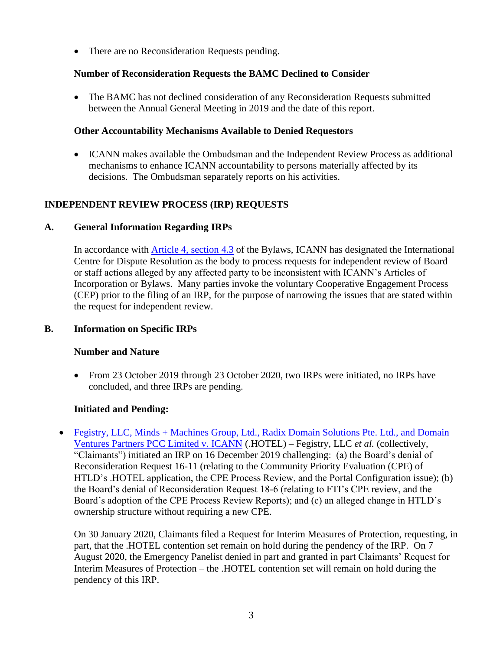• There are no Reconsideration Requests pending.

## **Number of Reconsideration Requests the BAMC Declined to Consider**

• The BAMC has not declined consideration of any Reconsideration Requests submitted between the Annual General Meeting in 2019 and the date of this report.

# **Other Accountability Mechanisms Available to Denied Requestors**

• ICANN makes available the Ombudsman and the Independent Review Process as additional mechanisms to enhance ICANN accountability to persons materially affected by its decisions. The Ombudsman separately reports on his activities.

# **INDEPENDENT REVIEW PROCESS (IRP) REQUESTS**

## **A. General Information Regarding IRPs**

In accordance with [Article 4, section 4.3](https://www.icann.org/resources/pages/governance/bylaws-en/#article4) of the Bylaws, ICANN has designated the International Centre for Dispute Resolution as the body to process requests for independent review of Board or staff actions alleged by any affected party to be inconsistent with ICANN's Articles of Incorporation or Bylaws. Many parties invoke the voluntary Cooperative Engagement Process (CEP) prior to the filing of an IRP, for the purpose of narrowing the issues that are stated within the request for independent review.

# **B. Information on Specific IRPs**

### **Number and Nature**

• From 23 October 2019 through 23 October 2020, two IRPs were initiated, no IRPs have concluded, and three IRPs are pending.

# **Initiated and Pending:**

• Fegistry, LLC, Minds + Machines Group, Ltd., Radix Domain Solutions Pte. Ltd., and Domain [Ventures Partners PCC Limited v. ICANN](https://www.icann.org/resources/pages/irp-fegistry-et-al-v-icann-hotel-2019-12-20-en) (.HOTEL) – Fegistry, LLC *et al.* (collectively, "Claimants") initiated an IRP on 16 December 2019 challenging: (a) the Board's denial of Reconsideration Request 16-11 (relating to the Community Priority Evaluation (CPE) of HTLD's .HOTEL application, the CPE Process Review, and the Portal Configuration issue); (b) the Board's denial of Reconsideration Request 18-6 (relating to FTI's CPE review, and the Board's adoption of the CPE Process Review Reports); and (c) an alleged change in HTLD's ownership structure without requiring a new CPE.

On 30 January 2020, Claimants filed a Request for Interim Measures of Protection, requesting, in part, that the .HOTEL contention set remain on hold during the pendency of the IRP. On 7 August 2020, the Emergency Panelist denied in part and granted in part Claimants' Request for Interim Measures of Protection – the .HOTEL contention set will remain on hold during the pendency of this IRP.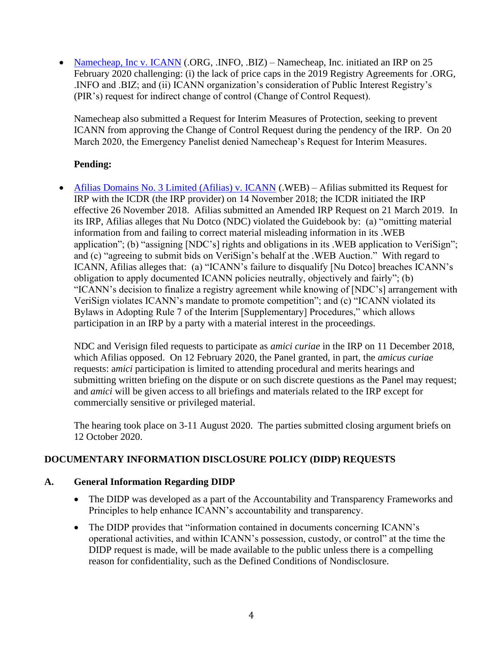• [Namecheap, Inc v. ICANN](https://www.icann.org/resources/pages/irp-namecheap-v-icann-2020-03-03-en) (.ORG, .INFO, .BIZ) – Namecheap, Inc. initiated an IRP on 25 February 2020 challenging: (i) the lack of price caps in the 2019 Registry Agreements for .ORG, .INFO and .BIZ; and (ii) ICANN organization's consideration of Public Interest Registry's (PIR's) request for indirect change of control (Change of Control Request).

Namecheap also submitted a Request for Interim Measures of Protection, seeking to prevent ICANN from approving the Change of Control Request during the pendency of the IRP. On 20 March 2020, the Emergency Panelist denied Namecheap's Request for Interim Measures.

## **Pending:**

• [Afilias Domains No. 3 Limited \(Afilias\) v. ICANN](https://www.icann.org/resources/pages/irp-afilias-v-icann-2018-11-30-en) (.WEB) – Afilias submitted its Request for IRP with the ICDR (the IRP provider) on 14 November 2018; the ICDR initiated the IRP effective 26 November 2018. Afilias submitted an Amended IRP Request on 21 March 2019. In its IRP, Afilias alleges that Nu Dotco (NDC) violated the Guidebook by: (a) "omitting material information from and failing to correct material misleading information in its .WEB application"; (b) "assigning [NDC's] rights and obligations in its .WEB application to VeriSign"; and (c) "agreeing to submit bids on VeriSign's behalf at the .WEB Auction." With regard to ICANN, Afilias alleges that: (a) "ICANN's failure to disqualify [Nu Dotco] breaches ICANN's obligation to apply documented ICANN policies neutrally, objectively and fairly"; (b) "ICANN's decision to finalize a registry agreement while knowing of [NDC's] arrangement with VeriSign violates ICANN's mandate to promote competition"; and (c) "ICANN violated its Bylaws in Adopting Rule 7 of the Interim [Supplementary] Procedures," which allows participation in an IRP by a party with a material interest in the proceedings.

NDC and Verisign filed requests to participate as *amici curiae* in the IRP on 11 December 2018, which Afilias opposed. On 12 February 2020, the Panel granted, in part, the *amicus curiae* requests: a*mici* participation is limited to attending procedural and merits hearings and submitting written briefing on the dispute or on such discrete questions as the Panel may request; and *amici* will be given access to all briefings and materials related to the IRP except for commercially sensitive or privileged material.

The hearing took place on 3-11 August 2020. The parties submitted closing argument briefs on 12 October 2020.

# **DOCUMENTARY INFORMATION DISCLOSURE POLICY (DIDP) REQUESTS**

### **A. General Information Regarding DIDP**

- The DIDP was developed as a part of the Accountability and Transparency Frameworks and Principles to help enhance ICANN's accountability and transparency.
- The DIDP provides that "information contained in documents concerning ICANN's operational activities, and within ICANN's possession, custody, or control" at the time the DIDP request is made, will be made available to the public unless there is a compelling reason for confidentiality, such as the Defined Conditions of Nondisclosure.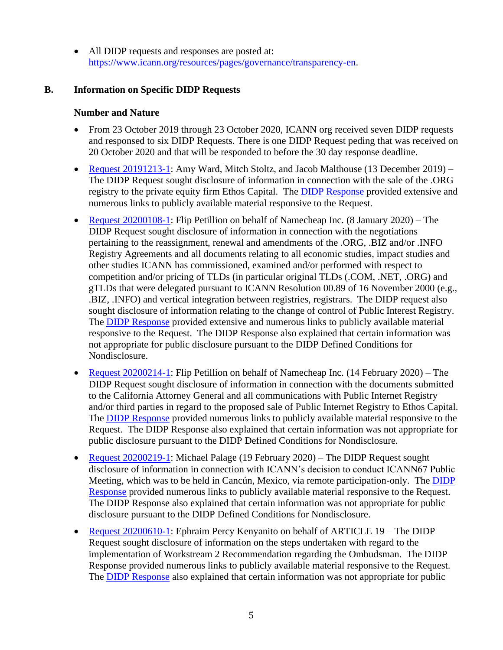• All DIDP requests and responses are posted at: [https://www.icann.org/resources/pages/governance/transparency-en.](https://www.icann.org/resources/pages/governance/transparency-en)

### **B. Information on Specific DIDP Requests**

#### **Number and Nature**

- From 23 October 2019 through 23 October 2020, ICANN org received seven DIDP requests and responsed to six DIDP Requests. There is one DIDP Request peding that was received on 20 October 2020 and that will be responded to before the 30 day response deadline.
- [Request 20191213-1:](https://www.icann.org/resources/pages/didp-20191213-1-ward-et-al-request-2020-01-14-en) Amy Ward, Mitch Stoltz, and Jacob Malthouse (13 December 2019) The DIDP Request sought disclosure of information in connection with the sale of the .ORG registry to the private equity firm Ethos Capital. The [DIDP Response](https://www.icann.org/en/system/files/files/didp-20191213-1-ward-et-al-response-12jan20-en.pdf) provided extensive and numerous links to publicly available material responsive to the Request.
- [Request 20200108-1:](https://www.icann.org/resources/pages/didp-20200108-1-petillion-request-2020-02-10-en) Flip Petillion on behalf of Namecheap Inc. (8 January 2020) The DIDP Request sought disclosure of information in connection with the negotiations pertaining to the reassignment, renewal and amendments of the .ORG, .BIZ and/or .INFO Registry Agreements and all documents relating to all economic studies, impact studies and other studies ICANN has commissioned, examined and/or performed with respect to competition and/or pricing of TLDs (in particular original TLDs (.COM, .NET, .ORG) and gTLDs that were delegated pursuant to ICANN Resolution 00.89 of 16 November 2000 (e.g., .BIZ, .INFO) and vertical integration between registries, registrars. The DIDP request also sought disclosure of information relating to the change of control of Public Interest Registry. The [DIDP Response](https://www.icann.org/en/system/files/files/didp-20200108-1-petillion-response-07feb20-en.pdf) provided extensive and numerous links to publicly available material responsive to the Request. The DIDP Response also explained that certain information was not appropriate for public disclosure pursuant to the DIDP Defined Conditions for Nondisclosure.
- [Request 20200214-1:](https://www.icann.org/resources/pages/didp-20200214-1-petillion-request-2020-03-17-en) Flip Petillion on behalf of Namecheap Inc. (14 February 2020) The DIDP Request sought disclosure of information in connection with the documents submitted to the California Attorney General and all communications with Public Internet Registry and/or third parties in regard to the proposed sale of Public Internet Registry to Ethos Capital. The [DIDP Response](https://www.icann.org/en/system/files/files/didp-20200214-1-petillion-response-15mar20-en.pdf) provided numerous links to publicly available material responsive to the Request. The DIDP Response also explained that certain information was not appropriate for public disclosure pursuant to the DIDP Defined Conditions for Nondisclosure.
- [Request 20200219-1:](https://www.icann.org/resources/pages/didp-20200219-1-palage-request-2020-03-24-en) Michael Palage (19 February 2020) The DIDP Request sought disclosure of information in connection with ICANN's decision to conduct ICANN67 Public Meeting, which was to be held in Cancún, Mexico, via remote participation-only. The [DIDP](https://www.icann.org/en/system/files/files/didp-20200219-1-palage-response-21mar20-en.pdf)  [Response](https://www.icann.org/en/system/files/files/didp-20200219-1-palage-response-21mar20-en.pdf) provided numerous links to publicly available material responsive to the Request. The DIDP Response also explained that certain information was not appropriate for public disclosure pursuant to the DIDP Defined Conditions for Nondisclosure.
- [Request 20200610-1:](https://www.icann.org/resources/pages/didp-20200610-1-kenyanito-request-2020-07-10-en) Ephraim Percy Kenyanito on behalf of ARTICLE 19 The DIDP Request sought disclosure of information on the steps undertaken with regard to the implementation of Workstream 2 Recommendation regarding the Ombudsman. The DIDP Response provided numerous links to publicly available material responsive to the Request. The [DIDP Response](https://www.icann.org/en/system/files/files/didp-20200610-1-kenyanito-response-10jul20-en.pdf) also explained that certain information was not appropriate for public